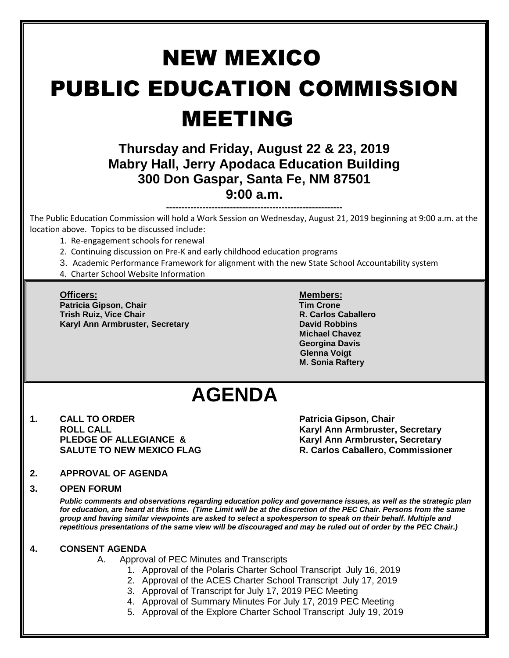# NEW MEXICO PUBLIC EDUCATION COMMISSION MEETING

### **Thursday and Friday, August 22 & 23, 2019 Mabry Hall, Jerry Apodaca Education Building 300 Don Gaspar, Santa Fe, NM 87501 9:00 a.m.**

**----------------------------------------------------------** The Public Education Commission will hold a Work Session on Wednesday, August 21, 2019 beginning at 9:00 a.m. at the location above. Topics to be discussed include:

- 1. Re-engagement schools for renewal
- 2. Continuing discussion on Pre-K and early childhood education programs
- 3. Academic Performance Framework for alignment with the new State School Accountability system
- 4. Charter School Website Information

**Officers: Members: Patricia Gipson, Chair Tim Crone Trish Ruiz, Vice Chair R. Carlos Caballero Karyl Ann Armbruster, Secretary <b>David Robbins David Robbins** 

**Michael Chavez Georgina Davis Glenna Voigt M. Sonia Raftery**

## **AGENDA**

**1. CALL TO ORDER Patricia Gipson, Chair** 

**ROLL CALL Karyl Ann Armbruster, Secretary PLEDGE OF ALLEGIANCE &**  Karyl Ann Armbruster, Secretary **SALUTE TO NEW MEXICO FLAG R. Carlos Caballero, Commissioner**

#### **2. APPROVAL OF AGENDA**

#### **3. OPEN FORUM**

*Public comments and observations regarding education policy and governance issues, as well as the strategic plan for education, are heard at this time. (Time Limit will be at the discretion of the PEC Chair. Persons from the same group and having similar viewpoints are asked to select a spokesperson to speak on their behalf. Multiple and repetitious presentations of the same view will be discouraged and may be ruled out of order by the PEC Chair.)*

#### **4. CONSENT AGENDA**

- A. Approval of PEC Minutes and Transcripts
	- 1. Approval of the Polaris Charter School Transcript July 16, 2019
	- 2. Approval of the ACES Charter School Transcript July 17, 2019
	- 3. Approval of Transcript for July 17, 2019 PEC Meeting
	- 4. Approval of Summary Minutes For July 17, 2019 PEC Meeting
	- 5. Approval of the Explore Charter School Transcript July 19, 2019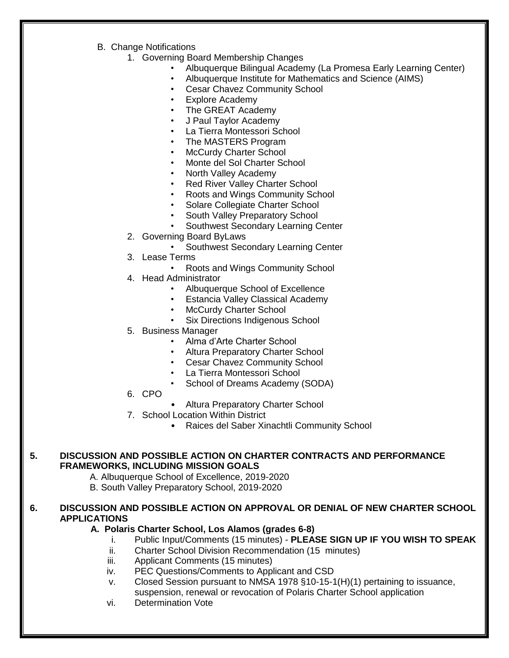- B. Change Notifications
	- 1. Governing Board Membership Changes
		- Albuquerque Bilingual Academy (La Promesa Early Learning Center)
		- Albuquerque Institute for Mathematics and Science (AIMS)
		- Cesar Chavez Community School
		- **Explore Academy**
		- The GREAT Academy
		- J Paul Taylor Academy
		- La Tierra Montessori School
		- The MASTERS Program
		- McCurdy Charter School
		- Monte del Sol Charter School
		- North Valley Academy
		- **Red River Valley Charter School**
		- Roots and Wings Community School
		- Solare Collegiate Charter School
		- South Valley Preparatory School
		- Southwest Secondary Learning Center
	- 2. Governing Board ByLaws
		- Southwest Secondary Learning Center
	- 3. Lease Terms
		- Roots and Wings Community School
	- 4. Head Administrator
		- Albuquerque School of Excellence
		- Estancia Valley Classical Academy
		- McCurdy Charter School
		- Six Directions Indigenous School
	- 5. Business Manager
		- Alma d'Arte Charter School
		- Altura Preparatory Charter School
		- Cesar Chavez Community School
		- La Tierra Montessori School
		- School of Dreams Academy (SODA)
	- 6. CPO
- Altura Preparatory Charter School
- 7. School Location Within District
	- Raices del Saber Xinachtli Community School

#### **5. DISCUSSION AND POSSIBLE ACTION ON CHARTER CONTRACTS AND PERFORMANCE FRAMEWORKS, INCLUDING MISSION GOALS**

- A. Albuquerque School of Excellence, 2019-2020
- B. South Valley Preparatory School, 2019-2020

#### **6. DISCUSSION AND POSSIBLE ACTION ON APPROVAL OR DENIAL OF NEW CHARTER SCHOOL APPLICATIONS**

#### **A. Polaris Charter School, Los Alamos (grades 6-8)**

- i. Public Input/Comments (15 minutes) **PLEASE SIGN UP IF YOU WISH TO SPEAK**
- ii. Charter School Division Recommendation (15 minutes)
- iii. Applicant Comments (15 minutes)
- iv. PEC Questions/Comments to Applicant and CSD
- v. Closed Session pursuant to NMSA 1978 §10-15-1(H)(1) pertaining to issuance, suspension, renewal or revocation of Polaris Charter School application
- vi. Determination Vote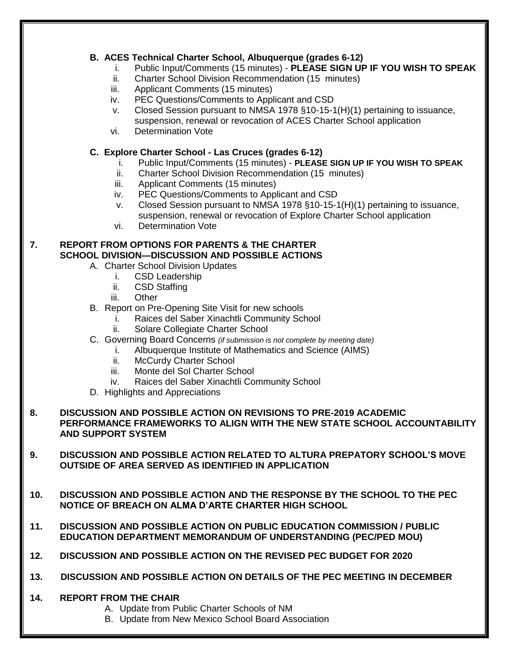#### **B. ACES Technical Charter School, Albuquerque (grades 6-12)**

- i. Public Input/Comments (15 minutes) **PLEASE SIGN UP IF YOU WISH TO SPEAK**
- ii. Charter School Division Recommendation (15 minutes)
- iii. Applicant Comments (15 minutes)
- iv. PEC Questions/Comments to Applicant and CSD
- v. Closed Session pursuant to NMSA 1978 §10-15-1(H)(1) pertaining to issuance, suspension, renewal or revocation of ACES Charter School application
- vi. Determination Vote

#### **C. Explore Charter School - Las Cruces (grades 6-12)**

- i. Public Input/Comments (15 minutes) **PLEASE SIGN UP IF YOU WISH TO SPEAK**
- ii. Charter School Division Recommendation (15 minutes)
- iii. Applicant Comments (15 minutes)
- iv. PEC Questions/Comments to Applicant and CSD
- v. Closed Session pursuant to NMSA 1978 §10-15-1(H)(1) pertaining to issuance, suspension, renewal or revocation of Explore Charter School application
- vi. Determination Vote

#### **7. REPORT FROM OPTIONS FOR PARENTS & THE CHARTER SCHOOL DIVISION—DISCUSSION AND POSSIBLE ACTIONS**

- A. Charter School Division Updates
	- i. CSD Leadership
	- ii. CSD Staffing
	- iii. Other
- B. Report on Pre-Opening Site Visit for new schools
	- i. Raices del Saber Xinachtli Community School
	- ii. Solare Collegiate Charter School
- C. Governing Board Concerns *(if submission is not complete by meeting date)*
	- i. Albuquerque Institute of Mathematics and Science (AIMS)
		- ii. McCurdy Charter School
		- iii. Monte del Sol Charter School
		- iv. Raices del Saber Xinachtli Community School
- D. Highlights and Appreciations

#### **8. DISCUSSION AND POSSIBLE ACTION ON REVISIONS TO PRE-2019 ACADEMIC PERFORMANCE FRAMEWORKS TO ALIGN WITH THE NEW STATE SCHOOL ACCOUNTABILITY AND SUPPORT SYSTEM**

- **9. DISCUSSION AND POSSIBLE ACTION RELATED TO ALTURA PREPATORY SCHOOL'S MOVE OUTSIDE OF AREA SERVED AS IDENTIFIED IN APPLICATION**
- **10. DISCUSSION AND POSSIBLE ACTION AND THE RESPONSE BY THE SCHOOL TO THE PEC NOTICE OF BREACH ON ALMA D'ARTE CHARTER HIGH SCHOOL**
- **11. DISCUSSION AND POSSIBLE ACTION ON PUBLIC EDUCATION COMMISSION / PUBLIC EDUCATION DEPARTMENT MEMORANDUM OF UNDERSTANDING (PEC/PED MOU)**
- **12. DISCUSSION AND POSSIBLE ACTION ON THE REVISED PEC BUDGET FOR 2020**
- **13. DISCUSSION AND POSSIBLE ACTION ON DETAILS OF THE PEC MEETING IN DECEMBER**

#### **14. REPORT FROM THE CHAIR**

- A. Update from Public Charter Schools of NM
- B. Update from New Mexico School Board Association